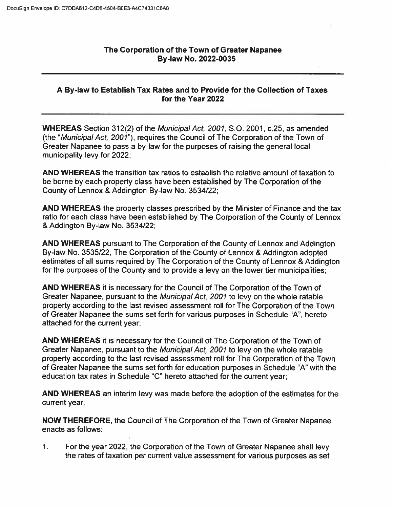## The Corporation of the Town of Greater Napanee By-law No. 2022-0035

## A By-law to Establish Tax Rates and to Provide for the Collection of Taxes for the Year 2022

WHEREAS Section 312(2) of the Municipal Act, 2001, S.O. 2001, c.25, as amended (the "Municipal Act, 2001"), requires the Council of The Corporation of the Town of Greater Napanee to pass a by-law for the purposes of raising the general local municipality levy for 2022;

AND WHEREAS the transition tax ratios to establish the relative amount of taxation to be borne by each property class have been established by The Corporation of the County of Lennox & Addington By-law No. 3534/22;

AND WHEREAS the property classes prescribed by the Minister of Finance and the tax ratio for each class have been established by The Corporation of the County of Lennox &Addington By-law No. 3534/22;

AND WHEREAS pursuant to The Corporation of the County of Lennox and Addington By-law No. 3535/22, The Corporation of the County of Lennox & Addington adopted estimates of all sums required by The Corporation of the County of Lennox & Addington for the purposes of the County and to provide a levy on the lower tier municipalities;

AND WHEREAS it is necessary for the Council of The Corporation of the Town of Greater Napanee, pursuant to the Municipal Act, 2001 to levy on the whole ratable property according to the last revised assessment roll for The Corporation of the Town of Greater Napanee the sums set forth for various purposes in Schedule "A", hereto attached for the current year;

AND WHEREAS it is necessary for the Council of The Corporation of the Town of Greater Napanee, pursuant to the Municipal Act, 2001 to levy on the whole ratable property according to the last revised assessment roll for The Corporation of the Town of Greater Napanee the sums set forth for education purposes in Schedule "A"with the education tax rates in Schedule "C" hereto attached for the current year;

AND WHEREAS an interim levy was made before the adoption of the estimates for the current year;

NOW THEREFORE, the Council of The Corporation of the Town of Greater Napanee enacts as follows:

1. For the year 2022, the Corporation of the Town of Greater Napanee shall levy the rates of taxation per current value assessment for various purposes as set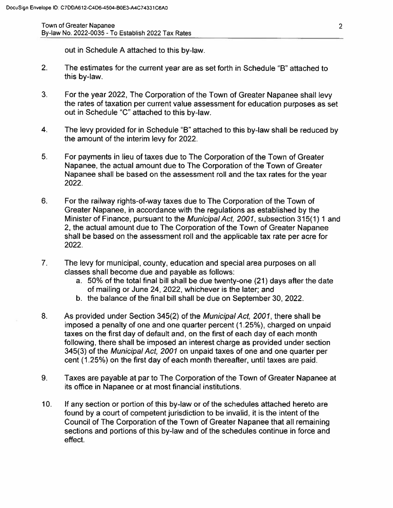Town of Greater Napanee By-law No. 2022-0035 - To Establish 2022 Tax Rates

out in Schedule A attached to this by-law.

- 2. The estimates for the current year are as set forth in Schedule "B"attached to this by-law.
- $3<sub>1</sub>$ For the year 2022, The Corporation of the Town of Greater Napanee shall levy the rates of taxation per current value assessment for education purposes as set out in Schedule "C" attached to this by-law.
- $4<sub>1</sub>$ The levy provided for in Schedule "B"attached to this by-law shall be reduced by the amount of the interim levy for 2022.
- $5<sub>1</sub>$ For payments in lieu of taxes due to The Corporation of the Town of Greater Napanee, the actual amount due to The Corporation of the Town of Greater Napanee shall be based on the assessment roll and the tax rates for the year 2022.
- $6.$ For the railway rights-of-way taxes due to The Corporation of the Town of Greater Napanee, in accordance with the regulations as established by the Minister of Finance, pursuant to the Municipal Act, 2001, subsection 315(1) 1 and 2, the actual amount due to The Corporation of the Town of Greater Napanee shall be based on the assessment roll and the applicable tax rate per acre for 2022.
- $7<sub>1</sub>$ The levy for municipal, county, education and special area purposes on all classes shall become due and payable as follows:
	- a. 50% of the total final bill shall be due twenty-one (21) days after the date of mailing or June 24, 2022, whichever is the later; and
	- b. the balance of the final bill shall be due on September 30, 2022.
- $8<sub>1</sub>$ As provided under Section 345(2) of the Municipal Act, 2001, there shall be imposed a penalty of one and one quarter percent (1.25%), charged on unpaid taxes on the first day of default and, on the first of each day of each month following, there shall be imposed an interest charge as provided under section 345(3) of the Municipal Act, 2001 on unpaid taxes of one and one quarter per cent (1.25%) on the first day of each month thereafter, until taxes are paid.
- $9<sub>1</sub>$ Taxes are payable at par to The Corporation of the Town of Greater Napanee at its office in Napanee or at most financial institutions.
- 10. If any section or portion of this by-law or of the schedules attached hereto are found by a court of competent jurisdiction to be invalid, it is the intent of the Council of The Corporation of the Town of Greater Napanee that all remaining sections and portions of this by-law and of the schedules continue in force andeffect.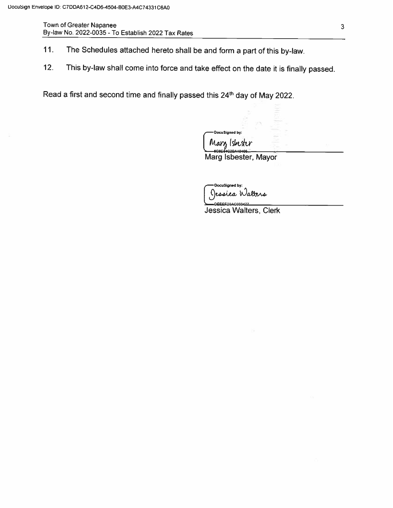Town of Greater Napanee By-law No. 2022-0035 - To Establish 2022 Tax Rates

- 11. The Schedules attached hereto shall be and form a part of this by-law.
- 12. This by-law shall come into force and take effect on the date it is finally passed.

Read a first and second time and finally passed this 24<sup>th</sup> day of May 2022.

Docusioned by:<br>Marglsbester

Marg Isbester, Mayor

Oocusigned by:<br>)essica Walters<br>0EEEED34C033477

Jessica Walters, Clerk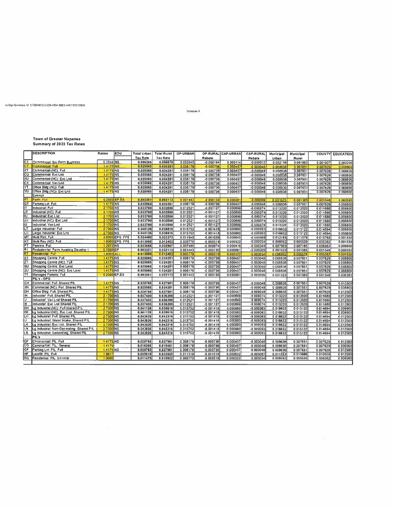#### cuSign Envelope ID C7DDA612-C4D6-4504-BBE3-A4C74331C8A0

Schedule A

|  | <b>Town of Greater Napanee</b> |  |
|--|--------------------------------|--|

Town of Greater Napanee<br>Summary of 2022 Tax Rates

|                 | <b>DESCRIPTION</b>                        | Ratios          | <b>EDU</b>     | Total Urban     | <b>Total Rural</b> | <b>OP-URBAN</b> |               | OP-RURAL CAP-URBAN | CAP-RURAL   | Municipal | <b>Municipal</b> |          | <b>COUNTY EDUCATION</b> |
|-----------------|-------------------------------------------|-----------------|----------------|-----------------|--------------------|-----------------|---------------|--------------------|-------------|-----------|------------------|----------|-------------------------|
|                 |                                           |                 |                | <b>Tax Rate</b> | <b>Tax Rate</b>    |                 | <b>Rebate</b> |                    | Rebate      | Urban     | Rural            |          |                         |
| IC7             | Commercial: Sm Farm Business              | 0.3544 NS       |                | 0.006266        | 0.006070           | 0.002045        | $-0.000184$   | 0.000114.          | $-0.000012$ | 0.002159  | 0.001963         | 0.001907 | 0.002200                |
| сT              | Commercial: Full                          | 1.4175 NS       |                | 0.025065        | 0.024281           | 0.008179        | $-0.000736$   | 0.000457           | $-0.000048$ | 0.008636  | 0.007851         | 0.007629 | 0.008600                |
| ХT              | Commercial (NC). Full                     | 1.4175 NS       |                | 0.025065        | 0.024281           | 0.008179        | $-0.000736$   | 0.000457           | $-0.000048$ | 0.008636  | 0.007851         | 0.007829 | 0.008800                |
| cu              | Commercial: Exc Lnd                       | 1.4175 NS       |                | 0.025065        | 0.024281           | 0.008179        | $-0.000736$   | 0.000457           | $-0.000048$ | 0.008636  | 0.007651         | 0.007629 | 0.008800                |
| XU              | Commercial (NC): Exc Lnd                  | 1.4175 NS       |                | 0.025065        | 0.024281           | 0.008179        | $-0.000736$   | 0.000457           | $-0.000048$ | 0.008636  | 0.007851         | 0.007629 | 0.008800                |
| cх              | Commercial: Vac Lnd                       | 1.4175 NS       |                | 0.025065        | 0.024281           | 0.008179        | $-0.000736$   | 0.000457           | $-0.000048$ | 0.008636  | 0.007851         | 0.007629 | 0.008800                |
| YT              | Office Bldg (NC): Full                    | 1.4175 NS       |                | 0.025065        | 0.024281           | 0.008179        | $-0.000736$   | 0 000457           | $-0.000048$ | 0.008636  | 0.007851         | 0.007629 | 0.008800                |
| w               | Office Bldg (NC): Exc Lnd                 | 14175 NS        |                | 0.025065        | 0.024281           | 0.008179        | $-0.000736$   | 0 000457           | $-0.000048$ | 0.008636  | 0.007851         | 0.007629 | 0.008800                |
|                 | Exempt                                    |                 |                |                 |                    |                 |               |                    |             |           |                  |          |                         |
| FΤ              | <b>Farm: Full</b>                         | 0.2500 EP.ES    |                | 0.003251        | 0.003113           | 0.001443        | $-0.000130$   | 0.00008            | $-0.000009$ | 0.001523  | 0.001385         | 0.001346 | 0.000383                |
| <b>GT</b>       | Parking Lot Full                          | 14175 NS        |                | 0.025065        | 0.024281           | 0.008179        | $-0.000736$   | 0 000457           | $-0.000048$ | 0.008636  | 0.007851         | 0.007629 | 0.008800                |
| lıT.            | Industrial: Full                          | 21700 NS        |                | 0.033700        | 0.032500           | 0.012521        | $-0.001127$   | 0.000699           | $-0.000074$ | 0.013220  | 0.012020         | 0.011680 | 0.008800                |
| IJΤ             | <b>Industrial (NC) Full</b>               | <b>21700 NS</b> |                | 0.033700        | 0.032500           | 0.012521        | $-0.001127$   | 0.000699           | $-0.000074$ | 0.013220  | 0.012020         | 0.011680 | 0.008800                |
| IU.             | İlndustrial: Exc Lnd                      | <b>21700 NS</b> |                | 0.033700        | 0.032500           | 0.012521        | $-0.001127$   | 0.000699           | $-0.000074$ | 0.013220  | 0.012020         | 0.011680 | 0.008800                |
| IJU             | Industrial (NC): Exc Lnd                  | 2.1700 NS       |                | 0.033700        | 0.032500           | 0.012521        | $-0.001127$   | 0.000699           | $-0.000074$ | 0.013220  | 0.012020         | 0.011680 | 0.008800                |
| IIX             | Industrial: Vac Lnd                       | 2.1700 NS       |                | 0.033700        | 0.032500           | 0.012521        | $-0.001127$   | 0 000699           | $-0.000074$ | 0.013220  | 0.012020         | 0.011680 | 0.008800                |
| LT              | Large Industrial Full                     | 2.7300 NS       |                | 0.040126        | 0.038616           | 0.015752        | $-0.001418$   | 0.000880           | $-0.000093$ | 0.016632  | 0.015122         | 0.014694 | 0.008800                |
| ้น              | Large Industrial: Exc Lnd                 | 2.7300 NS       |                | 0.040126        | 0.038616           | 0.015752        | $-0.001418$   | 0.000880           | $-0.000093$ | 0.016632  | 0.015122         | 0.014694 | 0.008800                |
| <b>MT</b>       | Muiti Res: Full                           |                 | 2.0000 EPS FPS | 0.024480        | 0.023373           | 0.011540        | $-0.001039$   | 0.000645           | $-0.000068$ | 0.012185  | 0.011078         | 0.010765 | 0.001530                |
| NT              | Mulli Res (NC): Full                      |                 | 10000 EPS FPS  | 0.013005        | 0.012452           | 0.005770        | $-0.000519$   | 0.000322           | $-0.000034$ | 0.006092  | 0.005539         | 0.005382 | 0.001530                |
| PT              | Pipeline: Full                            | 1.2972 NS       |                | 0.023685        | 0.022967           | 0.007485        | $-0.000674$   | 0.000418           | $-0.000044$ | 0.007903  | 0.007185         | 0.006982 | 0.008800                |
| R <sub>1</sub>  | Redsidential: Farm Awaiting Develop 1     | 0.2500 EP       |                | 0.003251        | 0.003113           | 0.001443        | $-0.000130$   | 0.000081           | $-0.000009$ | 0.001523  | 0.001385         | 0.001346 | 0.000383                |
| RT              | Residential: Full                         | 1.0000 ALL      |                | 0.013005        | 0.012452           | 0.005770        | $-0.000519$   | 0.000322           | $-0.000034$ | 0.006092  | 0.005539         | 0.005382 | 0.001530                |
| ST              | Shopping Centre: Full                     | 1.4175 NS       |                | 0.025065        | 0.024281           | 0.008179        | $-0.000736$   | 0.000457           | $-0.000048$ | 0.008636  | 0.007851         | 0.007629 | 0.008800                |
| $\overline{27}$ | Shopping Centre (NC): Full                | 1.4175 NS       |                | 0.025065        | 0.024281           | 0.008179        | $-0.000736$   | 0.000457           | $-0.000048$ | 0.008636  | 0.007851         | 0.007629 | 0.008800                |
| su              | Shopping Centre: Exc Land                 | 1.4175 NS       |                | 0.025065        | 0.024281           | 0.008179        | $-0.000736$   | 0.000457           | $-0.000048$ | 0.008636  | 0.007851         | 0.007629 | 0.008800                |
| ZU              | Shopping Centre (NC): Exc Land            | 1.4175 NS       |                | 0.025065        | 0.024281           | 0.008179        | $-0.000736$   | 0.000457           | $-0.000048$ | 0.008636  | 0.007851         | 0.007629 | 0.008800                |
| ĨΤ              | Managed Forests: Full                     | 0.2500 EP.ES    |                | 0.003251        | 0.003113           | 0.001443        | $-0.000130$   | 0.000061           | $-0.000009$ | 0.001523  | 0.001385         | 0.001346 | 0.000383                |
|                 | PIL's - OPG                               |                 |                |                 |                    |                 |               |                    |             |           |                  |          |                         |
| cн              | Commercial: Full, Shared PIL              | 1.4175 NS       |                | 0.028765        | 0.027981           | 0 008179        | $-0.000736$   | 0.000457           | $-0.000048$ | 0.008636  | 0 007851         | 0.007629 | 0.012500                |
| XH              | Commecial (NC): Full, Shared PIL          | 1.4175 NS       |                | 0.025065        | 0.024281           | 0.008179        | $-0.000736$   | 0.000457           | $-0.000048$ | 0.008636  | 0.007851         | 0.007629 | 0.008800                |
| DН              | Office Bldg: Full, Shared PIL             | 1.4175 NS       |                | 0.028765        | 0.027981           | 0.008179        | $-0.000736$   | 0.000457           | $-0.000048$ | 0.008636  | 0.007851         | 0.007629 | 0.012500                |
| IH.             | Industrial: Full, Shared PIL              | 21700 NS        |                | 0.037400        | 0.036200           | 0.012521        | $-0.001127$   | 0.000699           | $-0.000074$ | 0013220   | 0012020          | 0.011680 | 0.012500                |
| ω               | Industrial: Vac Lnd Shared PIL            | 21700 NS        |                | 0.037400        | 0.036200           | 0.012521        | $-0.001127$   | 0000699            | $-0.000074$ | 0.013220  | 0.012020         | 0.011680 | 0.012500                |
| ΙK              | Industrial: Exc Lnd Shared PIL            | 21700 NS        |                | 0.037400        | 0.036200           | 0.012521        | $-0.001127$   | 0.000699           | $-0.000074$ | 0.013220  | 0.012020         | 0.011680 | 0.012500                |
| KH              | Lg Industrial (NC): Full Shared PIL       | 2.7300 NS       |                | 0.041126        | 0.039616           | 0.015752        | $-0.001418$   | 0.000880           | $-0.000003$ | 0.016632  | 0.015122         | 0.014694 | 0.009800                |
| KK              | Lg Industrial (NC): Exc Lnd, Shared PIL   | 27300 NS        |                | 0.041126        | 0.039616           | 0.015752        | $-0.001418$   | 0 000880           | $-0.000093$ | 0.016632  | 0.015122         | 0.014694 | 0.009800                |
| ĽН              | Lg Industrial: Full, Shared PIL           | 2.7300 NS       |                | 0.043826        | 0.042316           | 0.015752        | $-0.001418$   | 0.000880           | $-0.000093$ | 0.016632  | 0.015122         | 0.014694 | 0.012500                |
| u               | Lg Industrial: Water Intake, Shared PIL   | 27300 NS        |                | 0.043826        | 0.042316           | 0.015752        | $-0.001418$   | 0.000880           | $-0.000093$ | 0016632   | 0.015122         | 0.014694 | 0.012500                |
| LK              | Lg Industrial: Exc Lnd, Shared PIL        | 2.7300 NS       |                | 0.043826        | 0.042316           | 0.015752        | $-0.001418$   | 0.000880           | $-0.000093$ | 0.016632  | 0.015122         | 0.014694 | 0.012500                |
| LN              | Lg Industrial: Non-Generating, Shared PIL | 27300 NS        |                | 0.043826        | 0.042316           | 0.015752        | $-0.001418$   | 0.000880           | $-0.000093$ | 0.016632  | 0.015122         | 0.014694 | 0.012500                |
| L\$             | Lg Industrial: Generating, Shared PIL     | 27300 NS        |                | 0.043826        | 0.042316           | 0.015752        | $-0.001418$   | 0.000880           | $-0.000093$ | 0.016632  | 0.015122         | 0 014694 | 0.012500                |
|                 | PIL's                                     |                 |                |                 |                    |                 |               |                    |             |           |                  |          |                         |
| CF              | Commercial: PIL: Full                     | 1.4175 NS       |                | 0.028765        | 0.027981           | 0.008179        | $-0.000736$   | 0.000457           | $-0.000048$ | 0 008636  | 0.007851         | 0.007629 | 0.012500                |
| <b>CG</b>       | Commercial: PIL: General                  | 14175           |                | 0.016265        | 0.015481           | 0.008179        | $-0.000736$   | 0.000457           | $-0.000048$ | 0.008636  | 0.007851         | 0.007629 | 0.000000                |
| GF              | Parking Lot: PIL: Full                    | $1.4175$ NS     |                | 0.028765        | 0.027981           | 0.008179        | $-0.000736$   | 0.000457           | $-0.000048$ | 0.008636  | 0.007851         | 0.007629 | 0.012500                |
| HF              | Landfill: PIL: Full                       | 19617           |                | 0.035010        | 0.033925           | 0.011319        | $-0.001019$   | 0.000632           | $-0.000067$ | 0.011951  | 0.010866         | 0.010559 | 0.012500                |
| <b>RG</b>       | Residential: PIL: General                 | 1.0000          |                | 0.011475        | 0.010922           | 0.005770        | $-0.000519$   | 0.000322           | $-0.000034$ | 0 006092  | 0005539          | 0005382  | 0000000                 |
|                 |                                           |                 |                |                 |                    |                 |               |                    |             |           |                  |          |                         |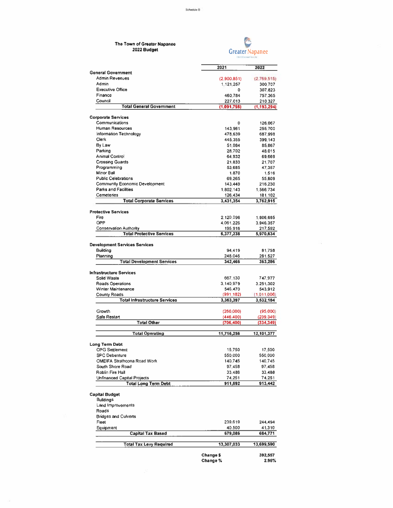| The Town of Greater Napanee<br>2022 Budget         |                        | <b>Greater Napanee</b> |  |
|----------------------------------------------------|------------------------|------------------------|--|
|                                                    | 2021                   | 2022                   |  |
| <b>General Government</b><br><b>Admin Revenues</b> |                        |                        |  |
| Admin                                              | (2900851)<br>1,121,257 | (2.769.515)<br>300.707 |  |
| <b>Executive Office</b>                            | ٥                      | 307.823                |  |
| Finance                                            | 460,784                | 757.365                |  |
| Council                                            | 227,013                | 210.327                |  |
| <b>Total General Government</b>                    | (1,091,798)            | (1, 193, 294)          |  |
| <b>Corporate Services</b>                          |                        |                        |  |
| Communications                                     | O                      | 126.067                |  |
| Human Resources                                    | 143,961                | 255.700                |  |
| Information Technology                             | 478,639                | 687.998                |  |
| Clerk                                              | 445,355                | 399.143                |  |
| By Law                                             | 51.084                 | 85,867                 |  |
| Parking                                            | 28.702                 | 48,015                 |  |
| Animal Control                                     | 64 932                 | 69,669                 |  |
| <b>Crossing Guards</b>                             | 21.833                 | 21,707                 |  |
| Programming                                        | 53 685                 | 47,357                 |  |
| Minor Ball<br><b>Public Celebrations</b>           | 1.870                  | 1,516                  |  |
| Community Economic Development                     | 69 265<br>143,449      | 55,809                 |  |
| Parks and Facilities                               | 1802.143               | 216,230<br>1,566,734   |  |
| Cemeteries                                         | 126.434                | 181,102                |  |
| <b>Total Corporate Services</b>                    | 3,431,354              | 3,762,915              |  |
|                                                    |                        |                        |  |
| <b>Protective Services</b><br>Fire                 | 2.120.096              | 1,806,685              |  |
| OPP                                                | 4.061.226              | 3.946,357              |  |
| <b>Conservation Authority</b>                      | 195,916                | 217,592                |  |
| <b>Total Protective Services</b>                   | 6,377,238              | 5,970,634              |  |
|                                                    |                        |                        |  |
| <b>Development Services Services</b><br>Building   |                        |                        |  |
| Planning                                           | 94.419<br>248.046      | 81,758<br>281,527      |  |
| <b>Total Development Services</b>                  | 342,466                | 363,286                |  |
|                                                    |                        |                        |  |
| <b>Infrastructure Services</b><br>Solid Waste      | 667.130                | 747,977                |  |
| <b>Roads Operations</b>                            | 3.140.979              | 3,251,302              |  |
| Winter Maintenance                                 | 546.470                | 543,912                |  |
| <b>County Roads</b>                                | (991.182)              | (1.011.006)            |  |
| <b>Total Infrastructure Services</b>               | 3,363,397              | 3,532,184              |  |
| Growth                                             | (260000)               | (95,000)               |  |
| Safe Restart                                       | (446 400)              | (239, 349)             |  |
| <b>Total Other</b>                                 | (706, 400)             | (334, 349)             |  |
| <b>Total Operating</b>                             | 11,716,256             | 12,101,377             |  |
|                                                    |                        |                        |  |
| <b>Long Term Debt</b>                              |                        |                        |  |
| <b>OPG Settlement</b><br><b>SPC Debenture</b>      | 15,750<br>550,000      | 17,500<br>550,000      |  |
| <b>OMEIFA Strathcona Road Work</b>                 | 140.745                | 140,745                |  |
| South Shore Road                                   | 97,458                 | 97,458                 |  |
| Roblin Fire Hall                                   | 33.488                 | 33,488                 |  |
| Unfinanced Capital Projects                        | 74.251                 | 74,251                 |  |
| <b>Total Long Term Debt</b>                        | 911,692                | 913,442                |  |
| <b>Capital Budget</b>                              |                        |                        |  |
| <b>Buildings</b>                                   |                        |                        |  |
| Land Improvements                                  |                        |                        |  |
| Roads                                              |                        |                        |  |
| <b>Bridges and Culverts</b>                        |                        |                        |  |
| Fleet                                              | 239 619                | 244,494                |  |
| Equipment                                          | 40,500                 | 41,310                 |  |
| <b>Capital Tax Based</b>                           | 679,086                | 684,771                |  |
| <b>Total Tax Levy Required</b>                     | 13,307,033             | 13,699,590             |  |
|                                                    |                        |                        |  |
|                                                    | <b>Change \$</b>       | 392,557                |  |
|                                                    | Change %               | 2.95%                  |  |

 $\frac{1}{2}$ 

 $\sim 10$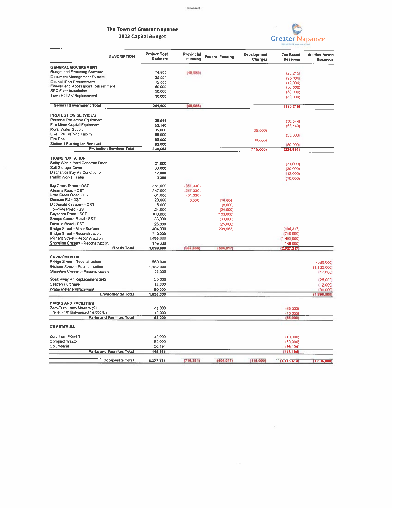## The Town of Greater Napanee 2022 Capital Budget



 $\overline{\Sigma}$ 

| <b>DESCRIPTION</b>                    | <b>Project Cost</b><br>Estimate | Provincial<br><b>Funding</b> | <b>Federal Funding</b> | Development<br>Charges | <b>Tax Based</b><br><b>Reserves</b> | Utilities Based<br>Reserves |
|---------------------------------------|---------------------------------|------------------------------|------------------------|------------------------|-------------------------------------|-----------------------------|
| <b>GENERAL GOVERNMENT</b>             |                                 |                              |                        |                        |                                     |                             |
| <b>Budget and Reporting Software</b>  | 74,900                          | (48, 685)                    |                        |                        | (26.215)                            |                             |
| Document Management System            | 25,000                          |                              |                        |                        | (25,000)                            |                             |
| Council iPad Replacement              | 12,000                          |                              |                        |                        | (12,000)                            |                             |
| Firewall and Accesspoint Refreshment  | 50,000                          |                              |                        |                        | (50,000)                            |                             |
| <b>SPC Fiber Installation</b>         | 50,000                          |                              |                        |                        | (50,000)                            |                             |
| Town Hall AV Replacement              | 30,000                          |                              |                        |                        | (30,000)                            |                             |
| <b>General Government Total</b>       | 241,900                         | (48, 685)                    |                        |                        | (193,215)                           |                             |
| <b>PROTECTION SERVICES</b>            |                                 |                              |                        |                        |                                     |                             |
| Personal Protective Equipment         | 36.544                          |                              |                        |                        | (36, 544)                           |                             |
| Fire Minor Capital Equipment          | 53.140                          |                              |                        |                        | (53, 140)                           |                             |
| Rural Water Supply                    | 35.000                          |                              |                        | (35,000)               |                                     |                             |
| Live Fire Training Facility           | 55.000                          |                              |                        |                        | (55,000)                            |                             |
| Fire Boat                             | 80.000                          |                              |                        | (80,000)               |                                     |                             |
| Station 1 Parking Lot Renewal         | 80.000                          |                              |                        |                        | (80,000)                            |                             |
| <b>Protection Services Total</b>      | 339,684                         |                              |                        | (115,000)              | (224, 684)                          |                             |
| <b>TRANSPORTATION</b>                 |                                 |                              |                        |                        |                                     |                             |
| Selby Works Yard Concrete Floor       | 21.000                          |                              |                        |                        | (21,000)                            |                             |
| Salt Storage Cover                    | 30.000                          |                              |                        |                        | (30,000)                            |                             |
| Mechanics Bay Air Conditioner         | 12.000                          |                              |                        |                        | (12,000)                            |                             |
| Public Works Trailer                  | 10.000                          |                              |                        |                        | (10.000)                            |                             |
| Big Creek Street - DST                | 351,000                         | (351 000)                    |                        |                        |                                     |                             |
| Abrams Road - DST                     | 247,000                         | (247,000)                    |                        |                        |                                     |                             |
| Little Creek Road - DST               | 61,000                          | (61,000)                     |                        |                        |                                     |                             |
| Denison Rd - DST                      | 23.000                          | (8,666)                      | (14.334)               |                        |                                     |                             |
| McDonald Crescent - DST               | 6,000                           |                              | (6,000)                |                        |                                     |                             |
| Townline Road - SST                   | 24,000                          |                              | (24,000)               |                        |                                     |                             |
| Bayshore Road - SST                   | 103,000                         |                              | (103,000)              |                        |                                     |                             |
| Sharps Corner Road - SST              | 33,000                          |                              | (33,000)               |                        |                                     |                             |
| Drive-In Road - SST                   | 25.000                          |                              | (25,000)               |                        |                                     |                             |
| Bridge Street - Micro Surface         | 404.000                         |                              | (298, 683)             |                        | (105, 317)                          |                             |
| <b>Bridge Street - Reconstruction</b> | 710.000                         |                              |                        |                        | (710,000)                           |                             |
| Richard Street - Reconstruction       | 1,493.000                       |                              |                        |                        | (1.493,000)                         |                             |
| Shoreline Cresent - Reconstruction    | 146,000                         |                              |                        |                        | (146,000)                           |                             |
| <b>Roads Total</b>                    | 3,699,000                       | (667, 665)                   | (504, 017)             |                        | (2, 527, 317)                       |                             |
| <b>ENVIROMENTAL</b>                   |                                 |                              |                        |                        |                                     |                             |
| <b>Bridge Street - Reconstruction</b> | 580.000                         |                              |                        |                        |                                     | (580000)                    |
| Richard Street - Reconstruction       | 1,182,000                       |                              |                        |                        |                                     | (1182000)                   |
| Shoreline Cresent - Reconstruction    | 17.000                          |                              |                        |                        |                                     | (17,000)                    |
| Soak Away Pit Replacement SHS         | 25,000                          |                              |                        |                        |                                     | (25,000)                    |
| Seacan Purchase                       | 12.000                          |                              |                        |                        |                                     | (12,000)                    |
| Water Meter Replacement               | 80,000                          |                              |                        |                        |                                     | (80,000)                    |
| <b>Enviromental Total</b>             | 1,896,000                       |                              |                        |                        |                                     | (1, 896, 000)               |
| <b>PARKS AND FACILITIES</b>           |                                 |                              |                        |                        |                                     |                             |
| Zero-Turn Lawn Mowers (2)             | 45,000                          |                              |                        |                        | (45,000)                            |                             |
| Trailer - 16' Galvanized 14 000 lbs   | 10,000                          |                              |                        |                        | (10,000)                            |                             |
| <b>Parks and Faciliites Total</b>     | 55,000                          |                              |                        |                        | (55,000)                            |                             |
| <b>CEMETERIES</b>                     |                                 |                              |                        |                        |                                     |                             |
| Zero Turn Mowers                      | 40.000                          |                              |                        |                        | (40.000)                            |                             |
| Compact Tractor                       | 50,000                          |                              |                        |                        | (50,000)                            |                             |
| Columbaria                            | 56.194                          |                              |                        |                        | (56.194)                            |                             |
| <b>Parks and Facilites Total</b>      | 146,194                         |                              |                        |                        | [146, 194]                          |                             |
| <b>Coprporate Total</b>               | 6,377,778                       | (716, 351)                   | (504, 017)             | (115,000)              | (3, 146, 410)                       | (1,896,000)                 |
|                                       |                                 |                              |                        |                        |                                     |                             |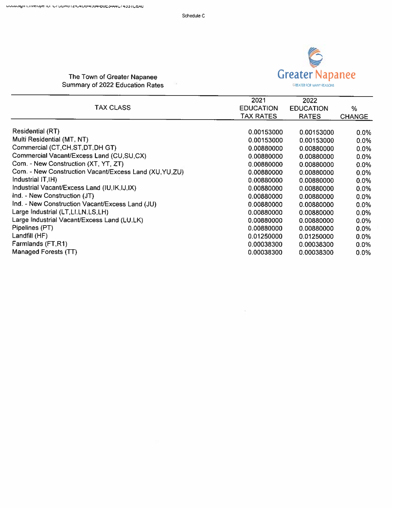$\mathcal{L}_{\mathcal{L}}$ 



## The Town of Greater Napanee Summary of 2022 Education Rates

|                                                         | 2021             | 2022             |               |
|---------------------------------------------------------|------------------|------------------|---------------|
| <b>TAX CLASS</b>                                        | <b>EDUCATION</b> | <b>EDUCATION</b> | %             |
|                                                         | TAX RATES        | <b>RATES</b>     | <b>CHANGE</b> |
| <b>Residential (RT)</b>                                 |                  |                  |               |
|                                                         | 0.00153000       | 0.00153000       | $0.0\%$       |
| Multi Residential (MT, NT)                              | 0.00153000       | 0.00153000       | $0.0\%$       |
| Commercial (CT,CH,ST,DT,DH GT)                          | 0.00880000       | 0.00880000       | $0.0\%$       |
| Commercial Vacant/Excess Land (CU,SU,CX)                | 0.00880000       | 0.00880000       | 0.0%          |
| Com. - New Construction (XT, YT, ZT)                    | 0.00880000       | 0.00880000       | 0.0%          |
| Com. - New Construction Vacant/Excess Land (XU, YU, ZU) | 0.00880000       | 0.00880000       | $0.0\%$       |
| Industrial IT, IH)                                      | 0.00880000       | 0.00880000       | $0.0\%$       |
| Industrial Vacant/Excess Land (IU, IK, IJ, IX)          | 0.00880000       | 0.00880000       | $0.0\%$       |
| Ind. - New Construction (JT)                            | 0.00880000       | 0.00880000       | $0.0\%$       |
| Ind. - New Construction Vacant/Excess Land (JU)         | 0.00880000       | 0.00880000       | $0.0\%$       |
| Large Industrial (LT.LI.LN.LS,LH)                       | 0.00880000       | 0.00880000       | $0.0\%$       |
| Large Industrial Vacant/Excess Land (LU,LK)             | 0.00880000       | 0.00880000       | 0.0%          |
| Pipelines (PT)                                          | 0.00880000       | 0.00880000       | $0.0\%$       |
| Landfill (HF)                                           | 0.01250000       | 0.01250000       | 0.0%          |
| Farmlands (FT,R1)                                       | 0.00038300       | 0.00038300       | $0.0\%$       |
| <b>Managed Forests (TT)</b>                             | 0.00038300       | 0.00038300       | $0.0\%$       |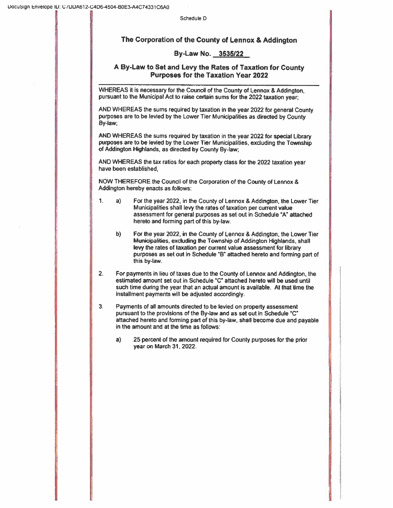## The Corporation of the County of Lennox & Addington

### By-Law No. 3535/22

### A By-Law to Set and Levy the Rates of Taxation for County Purposes for the Taxatlon Year 2022

WHEREAS it is necessary for the Council of the County of Lennox & Addington, pursuant to the Municipal Act to raise certain sums for the 2022 taxation year;

AND WHEREAS the sums required by taxation in the year 2022 for general County purposes are to be levied by the Lower Tier Municipalities as directed by County By-law;

ANDWHEREAS the sums required by taxation in the year 2022 for special Library purposes are to be levied by the Lower Tier Municipalities, excluding the Township of Addington Highlands, as directed by County By-law;

AND WHEREAS the tax ratios for each property class for the 2022 taxation year have been established,

NOWTHEREFORE the Council of the Corporation of the County of Lennox & Addington hereby enacts as follows:

- 1. a) For the year 2022, in the County of Lennox & Addington, the Lower Tier Municipalities shall levy the rates of taxation per current value assessment for general purposes as set out in Schedule 'A' attached hereto and forming part of this by-law.
	- b) For the year 2022, in the County of Lennox & Addington, the Lower Tier Municipalities, excluding the Township of Addington Highlands. shall levy the rates of taxation per current value assessment for library purposes as set out in Schedule "8' attached hereto and fonning part of this by-law.
- 2. For payments in lieu of taxes due to the County of Lennox and Addington. the estimated amount set out in Schedule "C" attached hereto will be used until such time during the year that an actual amount is available. At that time the installment payments will be adjusted accordingly.
- 3. Payments of all amounts directed to be levied on property assessment pursuant to the provisions of the By-lawand as set out in Schedule "C" attached hereto and forming part of this by-law, shall become due and payable in the amount and at the time as follows:
	- a) 25 percent of the amount required for County purposes forthe prior year on March 31, 2022.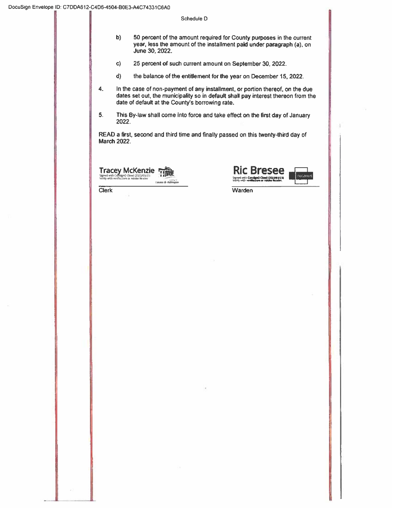| 50 percent of the amount required for County purposes in the current                    |
|-----------------------------------------------------------------------------------------|
| year, less the amount of the installment paid under paragraph (a), on<br>June 30, 2022. |
|                                                                                         |

 $\mathbf{c}$ 25 percent of such current amount on September 30, 2022.

- the balance of the entitlement for the year on December 15, 2022.  $d)$
- $\ddot{a}$ . In the case of non-payment of any installment, or portion thereof, on the due dates set out, the municipality so in default shall pay interest thereon from the date of default at the County's borrowing rate.
- $5.$ This By-law shall come into force and take effect on the first day of January 2022.

READ a first, second and third time and finally passed on this twenty-third day of **March 2022.** 

**Tracey McKenzie**<br>Signed with Consigno Cloud (2022/03/2)<br>Writty with verification or Adobe Reader

تمدد

**Clerk** 



Warden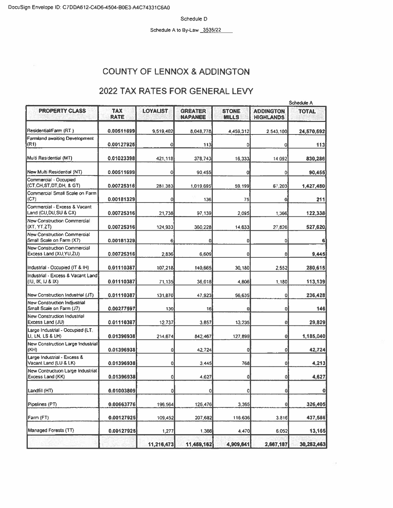Schedule A to By-Law 3535/22

## **COUNTY OF LENNOX & ADDINGTON**

## 2022 TAX RATES FOR GENERAL LEVY

|                                                                 |                           |                 |                                  |                              |                                      | Schedule A   |  |
|-----------------------------------------------------------------|---------------------------|-----------------|----------------------------------|------------------------------|--------------------------------------|--------------|--|
| <b>PROPERTY CLASS</b>                                           | <b>TAX</b><br><b>RATE</b> | <b>LOYALIST</b> | <b>GREATER</b><br><b>NAPANEE</b> | <b>STONE</b><br><b>MILLS</b> | <b>ADDINGTON</b><br><b>HIGHLANDS</b> | <b>TOTAL</b> |  |
| Residential/Farm (RT)                                           | 0.00511699                | 9,519,402       | 8,048,778                        | 4,459,312                    | 2,543,100                            | 24,570,592   |  |
| Farmland awaiting Development<br>(R1)                           | 0.00127925                | 0l              | 113                              | 0                            | 0                                    | 113          |  |
| Multi Residential (MT)                                          | 0.01023398                | 421,118         | 378,743                          | 16,333                       | 14.092                               | 830,286      |  |
| New Multi Residential (NT)                                      | 0.00511699                | 0               | 90.455                           | 0                            | ٥                                    | 90,455       |  |
| Commercial - Occupied<br>(CT CH ST DT DH, & GT)                 | 0.00725316                | 281,383         | 1.019.695                        | 59.199                       | 67.203                               | 1,427,480    |  |
| Commercial Small Scale on Farm<br>(C7)                          | 0.00181329                | 0               | 136                              | 75                           | ٥                                    | 211          |  |
| Commercial - Excess & Vacant<br>Land (CU,DU,SU & CX)            | 0.00725316                | 21,738          | 97.139                           | 2.095                        | 1,366                                | 122,338      |  |
| New Construction Commercial<br>(XT, YT, ZT)                     | 0.00725316                | 124,933         | 360,228                          | 14,633                       | 27,826                               | 527,620      |  |
| <b>New Construction Commercial</b><br>Small Scale on Farm (X7)  | 0.00181329                | 6               | $\mathbf{0}$                     | 0                            | Ō                                    | 6            |  |
| New Construction Commercial<br>Excess Land (XU, YU, ZU)         | 0.00725316                | 2.836           | 6,609                            | 0                            | 0                                    | 9,445        |  |
| Industrial - Occupied (IT & IH)                                 | 0.01110387                | 107,218         | 140,665                          | 30,180                       | 2,552                                | 280,615      |  |
| Industrial - Excess & Vacant Land<br>(IU, IK, IJ & IX)          | 0.01110387                | 71,135          | 36.018                           | 4.806                        | 1,180                                | 113,139      |  |
| New Construction Industrial (JT)                                | 0.01110387                | 131,870         | 47,923                           | 56,635                       | ٥                                    | 236,428      |  |
| <b>New Construction Indjustrial</b><br>Small Scale on Farm (J7) | 0.00277597                | 130             | 16                               | 0                            | o                                    | 146          |  |
| New Construction Industrial<br>Excess Land (JU)                 | 0.01110387                | 12.737          | 3.857                            | 13.235                       | 0                                    | 29,829       |  |
| Large Industrial - Occupied (LT,<br>LI, LN, LS & LH)            | 0.01396938                | 214,674         | 842,467                          | 127,899                      | 0                                    | 1,185,040    |  |
| New Construction Large Industrial<br>(KH)                       | 0.01396938                | ol              | 42,724                           | 0                            | $\circ$                              | 42,724       |  |
| Large Industrial - Excess &<br>Vacant Land (LU & LK)            | 0.01396938                | οl              | 3.445                            | 768                          | 0                                    | 4.213        |  |
| New Contructuon Large Industrial<br>Excess Land (KK)            | 0.01396938                | ٥l              | 4.627                            | $\vert 0 \vert$              | ٥                                    | 4,627        |  |
| Landfill (HT)                                                   | 0.01003809                | 이               | 0                                | $\circ$                      | $\boldsymbol{0}$                     | 0            |  |
| Pipelines (PT)                                                  | 0.00663776                | 196,564         | 126,476                          | 3,365                        | 0                                    | 326,405      |  |
| Farm (FT)                                                       | 0.00127925                | 109,452         | 207,682                          | 116,636                      | 3,816                                | 437,586      |  |
| Managed Forests (TT)                                            | 0.00127925                | 1,277           | 1,366                            | 4,470                        | 6,052                                | 13,165       |  |
|                                                                 |                           | 11,216,473      | 11,459,162                       | 4,909,641                    | 2,667,187                            | 30,252,463   |  |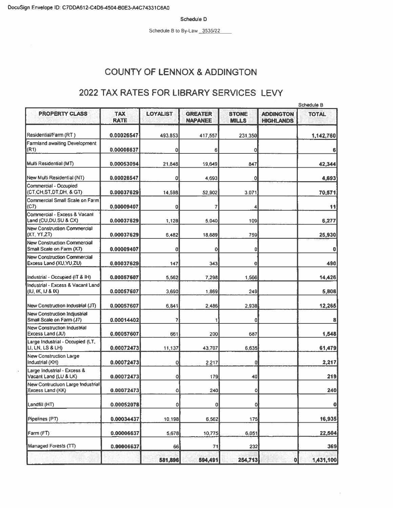Schedule B to By-Law 3535/22

# **COUNTY OF LENNOX & ADDINGTON**

## 2022 TAX RATES FOR LIBRARY SERVICES LEVY

|                                                                 |                           |                 |                                  |                              |                                      | Schedule B   |  |
|-----------------------------------------------------------------|---------------------------|-----------------|----------------------------------|------------------------------|--------------------------------------|--------------|--|
| <b>PROPERTY CLASS</b>                                           | <b>TAX</b><br><b>RATE</b> | <b>LOYALIST</b> | <b>GREATER</b><br><b>NAPANEE</b> | <b>STONE</b><br><b>MILLS</b> | <b>ADDINGTON</b><br><b>HIGHLANDS</b> | <b>TOTAL</b> |  |
| Residential/Farm (RT)                                           | 0.00026547                | 493.853         | 417,557                          | 231.350                      |                                      | 1,142,760    |  |
| <b>Farmland awaiting Development</b><br>(R1)                    | 0.00006637                | ٥               | 6                                | 0                            |                                      |              |  |
| Multi Residential (MT)                                          | 0.00053094                | 21,848          | 19,649                           | 847                          |                                      | 42,344       |  |
| New Multi Residential (NT)                                      | 0.00026547                | ٥               | 4,693                            | 0                            |                                      | 4,693        |  |
| Commercial - Occupied<br>(CT.CH,ST,DT,DH, & GT)                 | 0.00037629                | 14,598          | 52,902                           | 3.071                        |                                      | 70,571       |  |
| Commercial Small Scale on Farm<br>(C7)                          | 0.00009407                | ٥               |                                  |                              |                                      | 11           |  |
| Commercial - Excess & Vacant<br>Land (CU,DU,SU & CX)            | 0.00037629                | 1,128           | 5.040                            | 109                          |                                      | 6,277        |  |
| New Construction Commercial<br>(XT, YT,ZT)                      | 0.00037629                | 5,482           | 18,689                           | 759                          |                                      | 25,930       |  |
| New Construction Commercial<br>Small Scale on Farm (X7)         | 0.00009407                | ٥               | 0                                | 0                            |                                      | 0            |  |
| New Construction Commercial<br>Excess Land (XU, YU, ZU)         | 0.00037629                | 147             | 343                              | 0                            |                                      | 490          |  |
| Industrial - Occupied (IT & IH)                                 | 0.00057607                | 5,562           | 7,298                            | 1,566                        |                                      | 14,426       |  |
| Industrial - Excess & Vacant Land<br>KIU, IK, IJ & IX)          | 0.00057607                | 3,690           | 1,869                            | 249                          |                                      | 5,808        |  |
| New Construction Industrial (JT)                                | 0.00057607                | 6,841           | 2,486                            | 2,938                        |                                      | 12,265       |  |
| <b>New Construction Indiustrial</b><br>Small Scale on Farm (J7) | 0.00014402                | 7               | 1                                | ٥                            |                                      | 8            |  |
| New Construction Industrial<br>Excess Land (JU)                 | 0.00057607                | 661             | 200                              | 687                          |                                      | 1,548        |  |
| Large Industrial - Occupied (LT,<br>LI, LN, LS & LH)            | 0.00072473                | 11,137          | 43,707                           | 6,635                        |                                      | 61,479       |  |
| <b>New Construction Large</b><br>Industrial (KH)                | 0.00072473                | 0               | 2.217                            | 0                            |                                      | 2,217        |  |
| Large Industrial - Excess &<br>Vacant Land (LU & LK)            | 0.00072473                | 0               | 179                              | 40                           |                                      | 219          |  |
| New Contructuon Large Industrial<br>Excess Land (KK)            | 0.00072473                | $\Omega$        | 240                              | Ō                            |                                      | 240          |  |
| Landfill (HT)                                                   | 0.00052078                | 0               | 0                                | 0                            |                                      | 0            |  |
| Pipelines (PT)                                                  | 0.00034437                | 10,198          | 6,562                            | 175                          |                                      | 16,935       |  |
| Farm (FT)                                                       | 0.00006637                | 5,678           | 10,775                           | 6,051                        |                                      | 22,504       |  |
| Managed Forests (TT)                                            | 0.00006637                | 66              | 71                               | 232                          |                                      | 369          |  |
|                                                                 |                           | 581,896         | 594,491                          | 254,713                      | $\mathbf 0$                          | 1,431,100    |  |